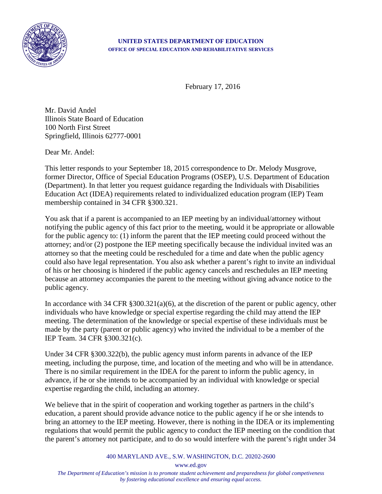

## **UNITED STATES DEPARTMENT OF EDUCATION OFFICE OF SPECIAL EDUCATION AND REHABILITATIVE SERVICES**

February 17, 2016

Mr. David Andel Illinois State Board of Education 100 North First Street Springfield, Illinois 62777-0001

Dear Mr. Andel:

This letter responds to your September 18, 2015 correspondence to Dr. Melody Musgrove, former Director, Office of Special Education Programs (OSEP), U.S. Department of Education (Department). In that letter you request guidance regarding the Individuals with Disabilities Education Act (IDEA) requirements related to individualized education program (IEP) Team membership contained in 34 CFR §300.321.

You ask that if a parent is accompanied to an IEP meeting by an individual/attorney without notifying the public agency of this fact prior to the meeting, would it be appropriate or allowable for the public agency to: (1) inform the parent that the IEP meeting could proceed without the attorney; and/or (2) postpone the IEP meeting specifically because the individual invited was an attorney so that the meeting could be rescheduled for a time and date when the public agency could also have legal representation. You also ask whether a parent's right to invite an individual of his or her choosing is hindered if the public agency cancels and reschedules an IEP meeting because an attorney accompanies the parent to the meeting without giving advance notice to the public agency.

In accordance with 34 CFR §300.321(a)(6), at the discretion of the parent or public agency, other individuals who have knowledge or special expertise regarding the child may attend the IEP meeting. The determination of the knowledge or special expertise of these individuals must be made by the party (parent or public agency) who invited the individual to be a member of the IEP Team. 34 CFR §300.321(c).

Under 34 CFR §300.322(b), the public agency must inform parents in advance of the IEP meeting, including the purpose, time, and location of the meeting and who will be in attendance. There is no similar requirement in the IDEA for the parent to inform the public agency, in advance, if he or she intends to be accompanied by an individual with knowledge or special expertise regarding the child, including an attorney.

We believe that in the spirit of cooperation and working together as partners in the child's education, a parent should provide advance notice to the public agency if he or she intends to bring an attorney to the IEP meeting. However, there is nothing in the IDEA or its implementing regulations that would permit the public agency to conduct the IEP meeting on the condition that the parent's attorney not participate, and to do so would interfere with the parent's right under 34

400 MARYLAND AVE., S.W. WASHINGTON, D.C. 20202-2600

www.ed.gov

*The Department of Education's mission is to promote student achievement and preparedness for global competiveness by fostering educational excellence and ensuring equal access.*